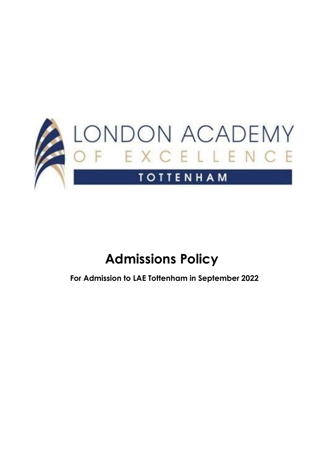

# **Admissions Policy**

**For Admission to LAE Tottenham in September 2022**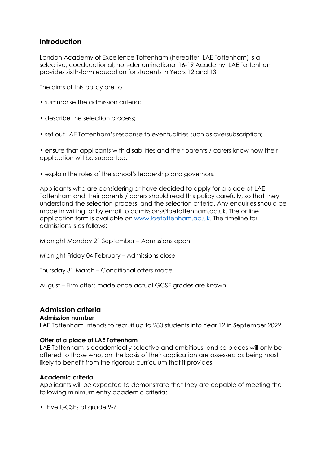# **Introduction**

London Academy of Excellence Tottenham (hereafter, LAE Tottenham) is a selective, coeducational, non-denominational 16-19 Academy. LAE Tottenham provides sixth-form education for students in Years 12 and 13.

The aims of this policy are to

- summarise the admission criteria;
- describe the selection process;
- set out LAE Tottenham's response to eventualities such as oversubscription;

• ensure that applicants with disabilities and their parents / carers know how their application will be supported;

• explain the roles of the school's leadership and governors.

Applicants who are considering or have decided to apply for a place at LAE Tottenham and their parents / carers should read this policy carefully, so that they understand the selection process, and the selection criteria. Any enquiries should be [made in writing, or by email to admissions@laetottenham.ac.uk. The online](mailto:admissions@laetottenham.ac.uk) application form is available on [www.laetottenham.ac.uk. The timeline for](http://www.laetottenham.ac.uk/) admissions is as follows:

Midnight Monday 21 September – Admissions open

Midnight Friday 04 February – Admissions close

Thursday 31 March – Conditional offers made

August – Firm offers made once actual GCSE grades are known

# **Admission criteria**

## **Admission number**

LAE Tottenham intends to recruit up to 280 students into Year 12 in September 2022.

#### **Offer of a place at LAE Tottenham**

LAE Tottenham is academically selective and ambitious, and so places will only be offered to those who, on the basis of their application are assessed as being most likely to benefit from the rigorous curriculum that it provides.

## **Academic criteria**

Applicants will be expected to demonstrate that they are capable of meeting the following minimum entry academic criteria:

• Five GCSEs at grade 9-7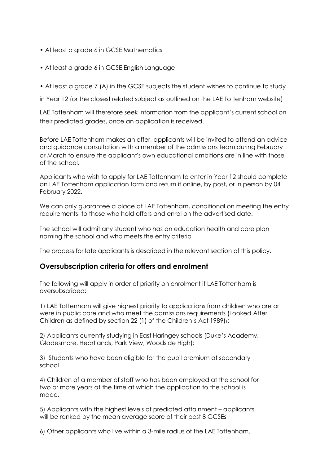- At least a grade 6 in GCSE Mathematics
- At least a grade 6 in GCSE English Language
- At least a grade 7 (A) in the GCSE subjects the student wishes to continue to study

in Year 12 (or the closest related subject as outlined on the LAE Tottenham website)

LAE Tottenham will therefore seek information from the applicant's current school on their predicted grades, once an application is received.

Before LAE Tottenham makes an offer, applicants will be invited to attend an advice and guidance consultation with a member of the admissions team during February or March to ensure the applicant's own educational ambitions are in line with those of the school.

Applicants who wish to apply for LAE Tottenham to enter in Year 12 should complete an LAE Tottenham application form and return it online, by post, or in person by 04 February 2022.

We can only guarantee a place at LAE Tottenham, conditional on meeting the entry requirements, to those who hold offers and enrol on the advertised date.

The school will admit any student who has an education health and care plan naming the school and who meets the entry criteria

The process for late applicants is described in the relevant section of this policy.

## **Oversubscription criteria for offers and enrolment**

The following will apply in order of priority on enrolment if LAE Tottenham is oversubscribed:

1) LAE Tottenham will give highest priority to applications from children who are or were in public care and who meet the admissions requirements (Looked After Children as defined by section 22 (1) of the Children's Act 1989)1;

2) Applicants currently studying in East Haringey schools (Duke's Academy, Gladesmore, Heartlands, Park View, Woodside High);

3) Students who have been eligible for the pupil premium at secondary school

4) Children of a member of staff who has been employed at the school for two or more years at the time at which the application to the school is made.

5) Applicants with the highest levels of predicted attainment – applicants will be ranked by the mean average score of their best 8 GCSEs

6) Other applicants who live within a 3-mile radius of the LAE Tottenham.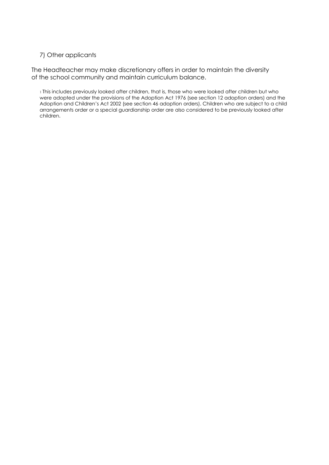### 7) Other applicants

The Headteacher may make discretionary offers in order to maintain the diversity of the school community and maintain curriculum balance.

1 This includes previously looked after children, that is, those who were looked after children but who were adopted under the provisions of the Adoption Act 1976 (see section 12 adoption orders) and the Adoption and Children's Act 2002 (see section 46 adoption orders). Children who are subject to a child arrangements order or a special guardianship order are also considered to be previously looked after children.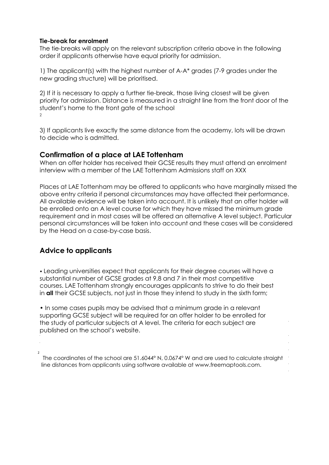#### **Tie-break for enrolment**

The tie-breaks will apply on the relevant subscription criteria above in the following order if applicants otherwise have equal priority for admission.

1) The applicant(s) with the highest number of A-A\* grades (7-9 grades under the new grading structure) will be prioritised.

2) If it is necessary to apply a further tie-break, those living closest will be given priority for admission. Distance is measured in a straight line from the front door of the student's home to the front gate of the school  $\mathfrak{p}$ 

3) If applicants live exactly the same distance from the academy, lots will be drawn to decide who is admitted.

## **Confirmation of a place at LAE Tottenham**

When an offer holder has received their GCSE results they must attend an enrolment interview with a member of the LAE Tottenham Admissions staff on XXX

Places at LAE Tottenham may be offered to applicants who have marginally missed the above entry criteria if personal circumstances may have affected their performance. All available evidence will be taken into account. It is unlikely that an offer holder will be enrolled onto an A level course for which they have missed the minimum grade requirement and in most cases will be offered an alternative A level subject. Particular personal circumstances will be taken into account and these cases will be considered by the Head on a case-by-case basis.

# **Advice to applicants**

2

• Leading universities expect that applicants for their degree courses will have a substantial number of GCSE grades at 9,8 and 7 in their most competitive courses. LAE Tottenham strongly encourages applicants to strive to do their best in **all** their GCSE subjects, not just in those they intend to study in the sixth form;

• In some cases pupils may be advised that a minimum grade in a relevant supporting GCSE subject will be required for an offer holder to be enrolled for the study of particular subjects at A level. The criteria for each subject are published on the school's website.

The coordinates of the school are 51.6044° N, 0.0674° W and are used to calculate straight line distances from applicants using software available at [www.freemaptools.com.](http://www.freemaptools.com/)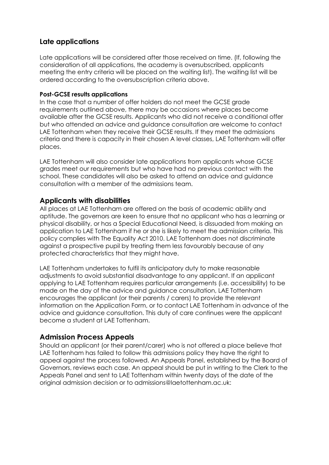## **Late applications**

Late applications will be considered after those received on time. (If, following the consideration of all applications, the academy is oversubscribed, applicants meeting the entry criteria will be placed on the waiting list). The waiting list will be ordered according to the oversubscription criteria above.

## **Post-GCSE results applications**

In the case that a number of offer holders do not meet the GCSE grade requirements outlined above, there may be occasions where places become available after the GCSE results. Applicants who did not receive a conditional offer but who attended an advice and guidance consultation are welcome to contact LAE Tottenham when they receive their GCSE results. If they meet the admissions criteria and there is capacity in their chosen A level classes, LAE Tottenham will offer places.

LAE Tottenham will also consider late applications from applicants whose GCSE grades meet our requirements but who have had no previous contact with the school. These candidates will also be asked to attend an advice and guidance consultation with a member of the admissions team.

# **Applicants with disabilities**

All places at LAE Tottenham are offered on the basis of academic ability and aptitude. The governors are keen to ensure that no applicant who has a learning or physical disability, or has a Special Educational Need, is dissuaded from making an application to LAE Tottenham if he or she is likely to meet the admission criteria. This policy complies with The Equality Act 2010. LAE Tottenham does not discriminate against a prospective pupil by treating them less favourably because of any protected characteristics that they might have.

LAE Tottenham undertakes to fulfil its anticipatory duty to make reasonable adjustments to avoid substantial disadvantage to any applicant. If an applicant applying to LAE Tottenham requires particular arrangements (i.e. accessibility) to be made on the day of the advice and guidance consultation, LAE Tottenham encourages the applicant (or their parents / carers) to provide the relevant information on the Application Form, or to contact LAE Tottenham in advance of the advice and guidance consultation. This duty of care continues were the applicant become a student at LAE Tottenham.

## **Admission Process Appeals**

Should an applicant (or their parent/carer) who is not offered a place believe that LAE Tottenham has failed to follow this admissions policy they have the right to appeal against the process followed. An Appeals Panel, established by the Board of Governors, reviews each case. An appeal should be put in writing to the Clerk to the Appeals Panel and sent to LAE Tottenham within twenty days of the date of the original admission decision or to [admissions@laetottenham.ac.uk:](mailto:admissions@laetottenham.ac.uk)